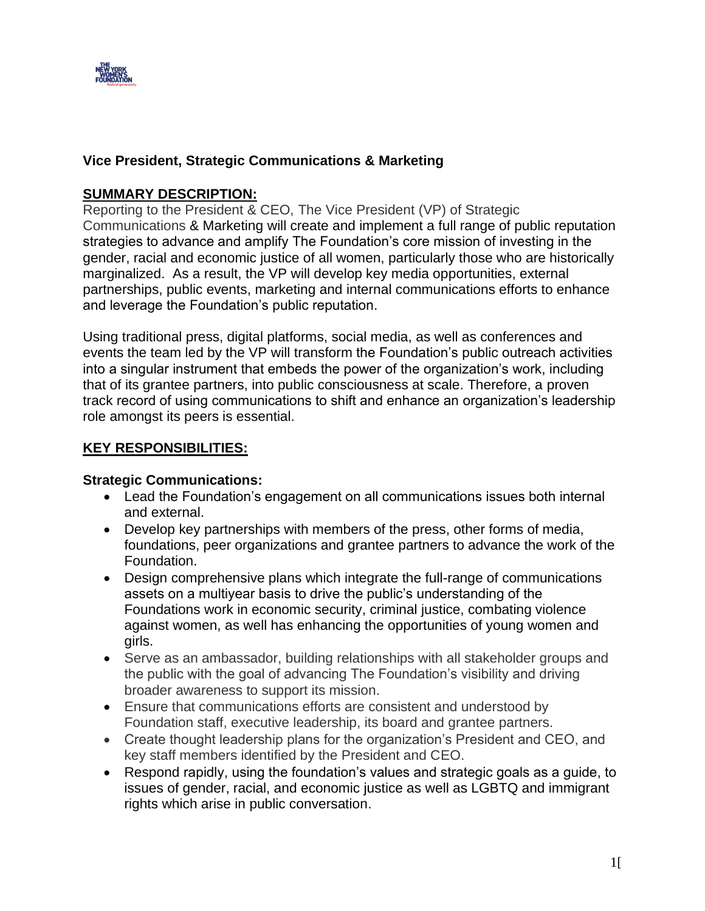

# **Vice President, Strategic Communications & Marketing**

## **SUMMARY DESCRIPTION:**

Reporting to the President & CEO, The Vice President (VP) of Strategic Communications & Marketing will create and implement a full range of public reputation strategies to advance and amplify The Foundation's core mission of investing in the gender, racial and economic justice of all women, particularly those who are historically marginalized. As a result, the VP will develop key media opportunities, external partnerships, public events, marketing and internal communications efforts to enhance and leverage the Foundation's public reputation.

Using traditional press, digital platforms, social media, as well as conferences and events the team led by the VP will transform the Foundation's public outreach activities into a singular instrument that embeds the power of the organization's work, including that of its grantee partners, into public consciousness at scale. Therefore, a proven track record of using communications to shift and enhance an organization's leadership role amongst its peers is essential.

## **KEY RESPONSIBILITIES:**

## **Strategic Communications:**

- Lead the Foundation's engagement on all communications issues both internal and external.
- Develop key partnerships with members of the press, other forms of media, foundations, peer organizations and grantee partners to advance the work of the Foundation.
- Design comprehensive plans which integrate the full-range of communications assets on a multiyear basis to drive the public's understanding of the Foundations work in economic security, criminal justice, combating violence against women, as well has enhancing the opportunities of young women and girls.
- Serve as an ambassador, building relationships with all stakeholder groups and the public with the goal of advancing The Foundation's visibility and driving broader awareness to support its mission.
- Ensure that communications efforts are consistent and understood by Foundation staff, executive leadership, its board and grantee partners.
- Create thought leadership plans for the organization's President and CEO, and key staff members identified by the President and CEO.
- Respond rapidly, using the foundation's values and strategic goals as a guide, to issues of gender, racial, and economic justice as well as LGBTQ and immigrant rights which arise in public conversation.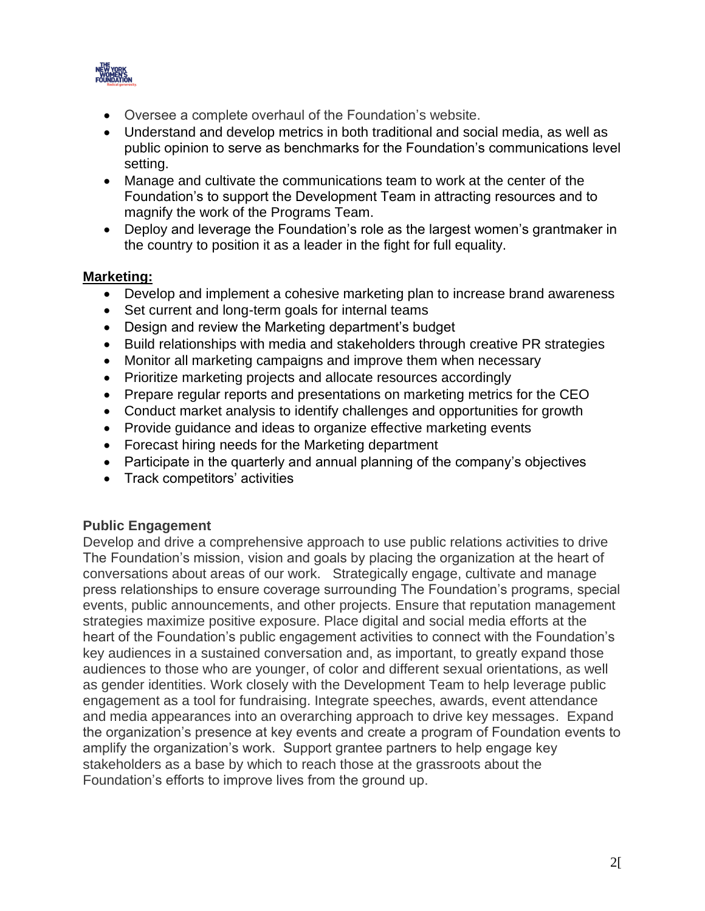

- Oversee a complete overhaul of the Foundation's website.
- Understand and develop metrics in both traditional and social media, as well as public opinion to serve as benchmarks for the Foundation's communications level setting.
- Manage and cultivate the communications team to work at the center of the Foundation's to support the Development Team in attracting resources and to magnify the work of the Programs Team.
- Deploy and leverage the Foundation's role as the largest women's grantmaker in the country to position it as a leader in the fight for full equality.

## **Marketing:**

- Develop and implement a cohesive marketing plan to increase brand awareness
- Set current and long-term goals for internal teams
- Design and review the Marketing department's budget
- Build relationships with media and stakeholders through creative PR strategies
- Monitor all marketing campaigns and improve them when necessary
- Prioritize marketing projects and allocate resources accordingly
- Prepare regular reports and presentations on marketing metrics for the CEO
- Conduct market analysis to identify challenges and opportunities for growth
- Provide guidance and ideas to organize effective marketing events
- Forecast hiring needs for the Marketing department
- Participate in the quarterly and annual planning of the company's objectives
- Track competitors' activities

# **Public Engagement**

Develop and drive a comprehensive approach to use public relations activities to drive The Foundation's mission, vision and goals by placing the organization at the heart of conversations about areas of our work. Strategically engage, cultivate and manage press relationships to ensure coverage surrounding The Foundation's programs, special events, public announcements, and other projects. Ensure that reputation management strategies maximize positive exposure. Place digital and social media efforts at the heart of the Foundation's public engagement activities to connect with the Foundation's key audiences in a sustained conversation and, as important, to greatly expand those audiences to those who are younger, of color and different sexual orientations, as well as gender identities. Work closely with the Development Team to help leverage public engagement as a tool for fundraising. Integrate speeches, awards, event attendance and media appearances into an overarching approach to drive key messages. Expand the organization's presence at key events and create a program of Foundation events to amplify the organization's work. Support grantee partners to help engage key stakeholders as a base by which to reach those at the grassroots about the Foundation's efforts to improve lives from the ground up.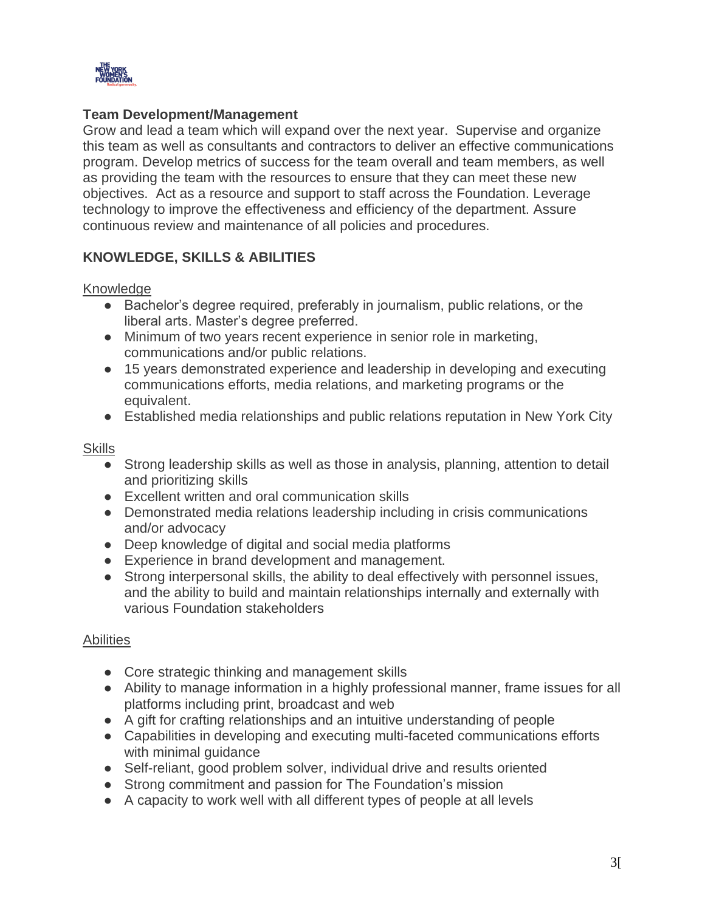

## **Team Development/Management**

Grow and lead a team which will expand over the next year. Supervise and organize this team as well as consultants and contractors to deliver an effective communications program. Develop metrics of success for the team overall and team members, as well as providing the team with the resources to ensure that they can meet these new objectives. Act as a resource and support to staff across the Foundation. Leverage technology to improve the effectiveness and efficiency of the department. Assure continuous review and maintenance of all policies and procedures.

# **KNOWLEDGE, SKILLS & ABILITIES**

Knowledge

- Bachelor's degree required, preferably in journalism, public relations, or the liberal arts. Master's degree preferred.
- Minimum of two years recent experience in senior role in marketing, communications and/or public relations.
- 15 years demonstrated experience and leadership in developing and executing communications efforts, media relations, and marketing programs or the equivalent.
- Established media relationships and public relations reputation in New York City

#### **Skills**

- Strong leadership skills as well as those in analysis, planning, attention to detail and prioritizing skills
- Excellent written and oral communication skills
- Demonstrated media relations leadership including in crisis communications and/or advocacy
- Deep knowledge of digital and social media platforms
- Experience in brand development and management.
- Strong interpersonal skills, the ability to deal effectively with personnel issues, and the ability to build and maintain relationships internally and externally with various Foundation stakeholders

## Abilities

- Core strategic thinking and management skills
- Ability to manage information in a highly professional manner, frame issues for all platforms including print, broadcast and web
- A gift for crafting relationships and an intuitive understanding of people
- Capabilities in developing and executing multi-faceted communications efforts with minimal guidance
- Self-reliant, good problem solver, individual drive and results oriented
- Strong commitment and passion for The Foundation's mission
- A capacity to work well with all different types of people at all levels